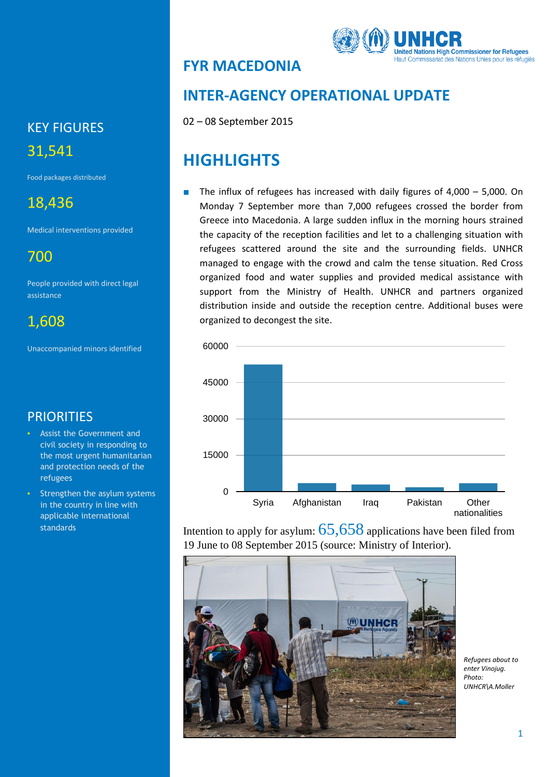## **FYR MACEDONIA**



## **INTER-AGENCY OPERATIONAL UPDATE**

02 – 08 September 2015

## **HIGHLIGHTS**

The influx of refugees has increased with daily figures of  $4,000 - 5,000$ . On Monday 7 September more than 7,000 refugees crossed the border from Greece into Macedonia. A large sudden influx in the morning hours strained the capacity of the reception facilities and let to a challenging situation with refugees scattered around the site and the surrounding fields. UNHCR managed to engage with the crowd and calm the tense situation. Red Cross organized food and water supplies and provided medical assistance with support from the Ministry of Health. UNHCR and partners organized distribution inside and outside the reception centre. Additional buses were organized to decongest the site.



Intention to apply for asylum:  $65,658$  applications have been filed from 19 June to 08 September 2015 (source: Ministry of Interior).



*Refugees about to enter Vinojug. Photo: UNHCR\A.Moller*

# KEY FIGURES 31,541

Food packages distributed

## 18,436

Medical interventions provided

700

People provided with direct legal assistance

1,608

Unaccompanied minors identified

## **PRIORITIES**

- Assist the Government and civil society in responding to the most urgent humanitarian and protection needs of the refugees
- Strengthen the asylum systems in the country in line with applicable international standards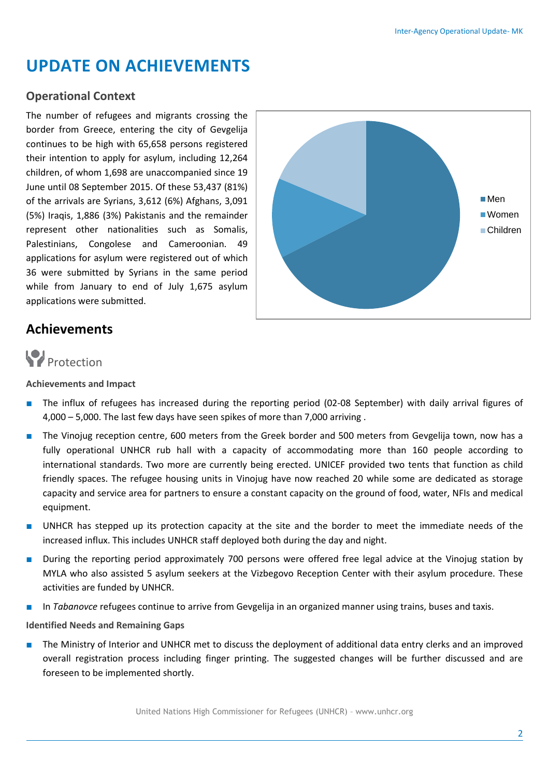## **UPDATE ON ACHIEVEMENTS**

#### **Operational Context**

The number of refugees and migrants crossing the border from Greece, entering the city of Gevgelija continues to be high with 65,658 persons registered their intention to apply for asylum, including 12,264 children, of whom 1,698 are unaccompanied since 19 June until 08 September 2015. Of these 53,437 (81%) of the arrivals are Syrians, 3,612 (6%) Afghans, 3,091 (5%) Iraqis, 1,886 (3%) Pakistanis and the remainder represent other nationalities such as Somalis, Palestinians, Congolese and Cameroonian. 49 applications for asylum were registered out of which 36 were submitted by Syrians in the same period while from January to end of July 1,675 asylum applications were submitted.



### **Achievements**



#### **Achievements and Impact**

- The influx of refugees has increased during the reporting period (02-08 September) with daily arrival figures of 4,000 – 5,000. The last few days have seen spikes of more than 7,000 arriving .
- The Vinojug reception centre, 600 meters from the Greek border and 500 meters from Gevgelija town, now has a fully operational UNHCR rub hall with a capacity of accommodating more than 160 people according to international standards. Two more are currently being erected. UNICEF provided two tents that function as child friendly spaces. The refugee housing units in Vinojug have now reached 20 while some are dedicated as storage capacity and service area for partners to ensure a constant capacity on the ground of food, water, NFIs and medical equipment.
- UNHCR has stepped up its protection capacity at the site and the border to meet the immediate needs of the increased influx. This includes UNHCR staff deployed both during the day and night.
- During the reporting period approximately 700 persons were offered free legal advice at the Vinojug station by MYLA who also assisted 5 asylum seekers at the Vizbegovo Reception Center with their asylum procedure. These activities are funded by UNHCR.
- In *Tabanovce* refugees continue to arrive from Gevgelija in an organized manner using trains, buses and taxis.

#### **Identified Needs and Remaining Gaps**

The Ministry of Interior and UNHCR met to discuss the deployment of additional data entry clerks and an improved overall registration process including finger printing. The suggested changes will be further discussed and are foreseen to be implemented shortly.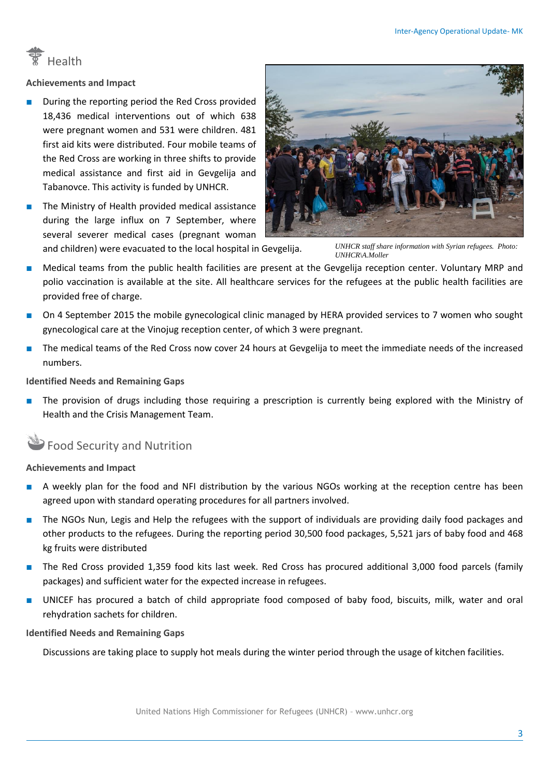

**Achievements and Impact**

- During the reporting period the Red Cross provided 18,436 medical interventions out of which 638 were pregnant women and 531 were children. 481 first aid kits were distributed. Four mobile teams of the Red Cross are working in three shifts to provide medical assistance and first aid in Gevgelija and Tabanovce. This activity is funded by UNHCR.
- The Ministry of Health provided medical assistance during the large influx on 7 September, where several severer medical cases (pregnant woman and children) were evacuated to the local hospital in Gevgelija.



*UNHCR staff share information with Syrian refugees. Photo: UNHCR\A.Moller*

- Medical teams from the public health facilities are present at the Gevgelija reception center. Voluntary MRP and polio vaccination is available at the site. All healthcare services for the refugees at the public health facilities are provided free of charge.
- On 4 September 2015 the mobile gynecological clinic managed by HERA provided services to 7 women who sought gynecological care at the Vinojug reception center, of which 3 were pregnant.
- The medical teams of the Red Cross now cover 24 hours at Gevgelija to meet the immediate needs of the increased numbers.

#### **Identified Needs and Remaining Gaps**

The provision of drugs including those requiring a prescription is currently being explored with the Ministry of Health and the Crisis Management Team.

### Food Security and Nutrition

#### **Achievements and Impact**

- A weekly plan for the food and NFI distribution by the various NGOs working at the reception centre has been agreed upon with standard operating procedures for all partners involved.
- The NGOs Nun, Legis and Help the refugees with the support of individuals are providing daily food packages and other products to the refugees. During the reporting period 30,500 food packages, 5,521 jars of baby food and 468 kg fruits were distributed
- The Red Cross provided 1,359 food kits last week. Red Cross has procured additional 3,000 food parcels (family packages) and sufficient water for the expected increase in refugees.
- UNICEF has procured a batch of child appropriate food composed of baby food, biscuits, milk, water and oral rehydration sachets for children.

#### **Identified Needs and Remaining Gaps**

Discussions are taking place to supply hot meals during the winter period through the usage of kitchen facilities.